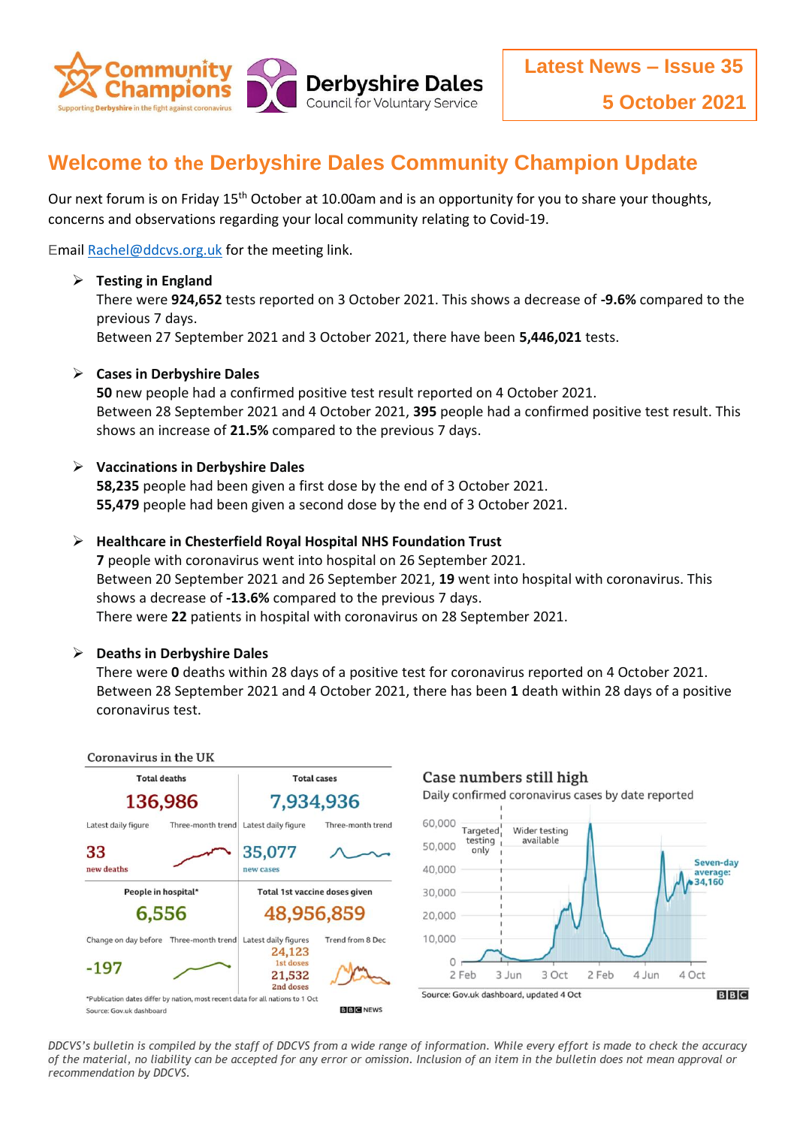

# **Welcome to the Derbyshire Dales Community Champion Update**

Our next forum is on Friday 15<sup>th</sup> October at 10.00am and is an opportunity for you to share your thoughts, concerns and observations regarding your local community relating to Covid-19.

Emai[l Rachel@ddcvs.org.uk](mailto:Rachel@ddcvs.org.uk) for the meeting link.

### **Testing in England**

There were **924,652** tests reported on 3 October 2021. This shows a decrease of **-9.6%** compared to the previous 7 days.

Between 27 September 2021 and 3 October 2021, there have been **5,446,021** tests.

#### **Cases in Derbyshire Dales**

**50** new people had a confirmed positive test result reported on 4 October 2021. Between 28 September 2021 and 4 October 2021, **395** people had a confirmed positive test result. This shows an increase of **21.5%** compared to the previous 7 days.

#### **Vaccinations in Derbyshire Dales**

**58,235** people had been given a first dose by the end of 3 October 2021. **55,479** people had been given a second dose by the end of 3 October 2021.

#### **Healthcare in Chesterfield Royal Hospital NHS Foundation Trust**

**7** people with coronavirus went into hospital on 26 September 2021. Between 20 September 2021 and 26 September 2021, **19** went into hospital with coronavirus. This shows a decrease of **-13.6%** compared to the previous 7 days. There were **22** patients in hospital with coronavirus on 28 September 2021.

#### **Deaths in Derbyshire Dales**

There were **0** deaths within 28 days of a positive test for coronavirus reported on 4 October 2021. Between 28 September 2021 and 4 October 2021, there has been **1** death within 28 days of a positive coronavirus test.



*DDCVS's bulletin is compiled by the staff of DDCVS from a wide range of information. While every effort is made to check the accuracy of the material, no liability can be accepted for any error or omission. Inclusion of an item in the bulletin does not mean approval or recommendation by DDCVS.*